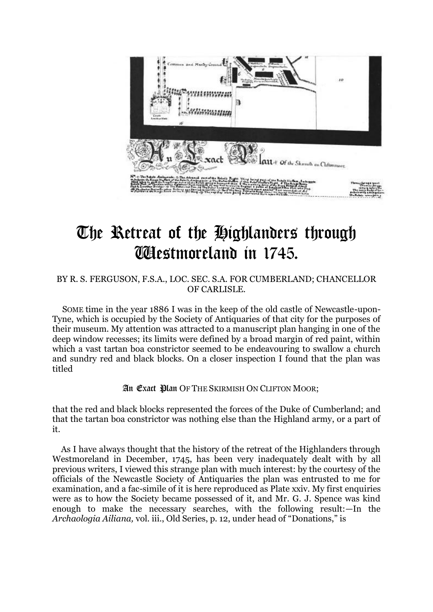

# The Retreat of the Highlanders through Westmoreland in 1745.

### BY R. S. FERGUSON, F.S.A., LOC. SEC. S.A. FOR CUMBERLAND; CHANCELLOR OF CARLISLE.

SOME time in the year 1886 I was in the keep of the old castle of Newcastle-upon-Tyne, which is occupied by the Society of Antiquaries of that city for the purposes of their museum. My attention was attracted to a manuscript plan hanging in one of the deep window recesses; its limits were defined by a broad margin of red paint, within which a vast tartan boa constrictor seemed to be endeavouring to swallow a church and sundry red and black blocks. On a closer inspection I found that the plan was titled

### An Exact Plan OF THE SKIRMISH ON CLIFTON MOOR;

that the red and black blocks represented the forces of the Duke of Cumberland; and that the tartan boa constrictor was nothing else than the Highland army, or a part of it.

As I have always thought that the history of the retreat of the Highlanders through Westmoreland in December, 1745, has been very inadequately dealt with by all previous writers, I viewed this strange plan with much interest: by the courtesy of the officials of the Newcastle Society of Antiquaries the plan was entrusted to me for examination, and a fac-simile of it is here reproduced as Plate xxiv. My first enquiries were as to how the Society became possessed of it, and Mr. G. J. Spence was kind enough to make the necessary searches, with the following result:—In the *Archaologia Ailiana,* vol. iii., Old Series, p. 12, under head of "Donations," is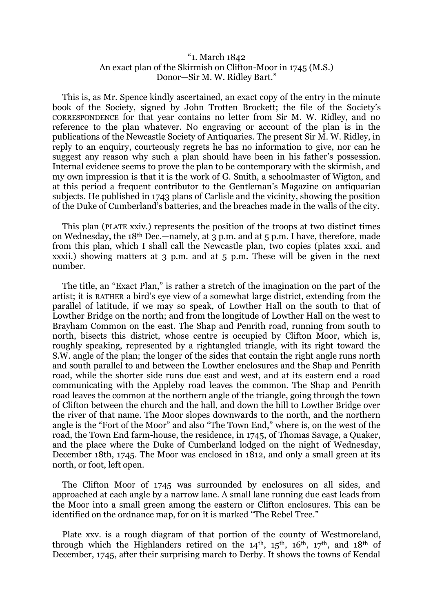### "1. March 1842 An exact plan of the Skirmish on Clifton-Moor in 1745 (M.S.) Donor—Sir M. W. Ridley Bart."

This is, as Mr. Spence kindly ascertained, an exact copy of the entry in the minute book of the Society, signed by John Trotten Brockett; the file of the Society's CORRESPONDENCE for that year contains no letter from Sir M. W. Ridley, and no reference to the plan whatever. No engraving or account of the plan is in the publications of the Newcastle Society of Antiquaries. The present Sir M. W. Ridley, in reply to an enquiry, courteously regrets he has no information to give, nor can he suggest any reason why such a plan should have been in his father's possession. Internal evidence seems to prove the plan to be contemporary with the skirmish, and my own impression is that it is the work of G. Smith, a schoolmaster of Wigton, and at this period a frequent contributor to the Gentleman's Magazine on antiquarian subjects. He published in 1743 plans of Carlisle and the vicinity, showing the position of the Duke of Cumberland's batteries, and the breaches made in the walls of the city.

This plan (PLATE xxiv.) represents the position of the troops at two distinct times on Wednesday, the 18th Dec.—namely, at 3 p.m. and at 5 p.m. I have, therefore, made from this plan, which I shall call the Newcastle plan, two copies (plates xxxi. and xxxii.) showing matters at 3 p.m. and at 5 p.m. These will be given in the next number.

The title, an "Exact Plan," is rather a stretch of the imagination on the part of the artist; it is RATHER a bird's eye view of a somewhat large district, extending from the parallel of latitude, if we may so speak, of Lowther Hall on the south to that of Lowther Bridge on the north; and from the longitude of Lowther Hall on the west to Brayham Common on the east. The Shap and Penrith road, running from south to north, bisects this district, whose centre is occupied by Clifton Moor, which is, roughly speaking, represented by a rightangled triangle, with its right toward the S.W. angle of the plan; the longer of the sides that contain the right angle runs north and south parallel to and between the Lowther enclosures and the Shap and Penrith road, while the shorter side runs due east and west, and at its eastern end a road communicating with the Appleby road leaves the common. The Shap and Penrith road leaves the common at the northern angle of the triangle, going through the town of Clifton between the church and the hall, and down the hill to Lowther Bridge over the river of that name. The Moor slopes downwards to the north, and the northern angle is the "Fort of the Moor" and also "The Town End," where is, on the west of the road, the Town End farm-house, the residence, in 1745, of Thomas Savage, a Quaker, and the place where the Duke of Cumberland lodged on the night of Wednesday, December 18th, 1745. The Moor was enclosed in 1812, and only a small green at its north, or foot, left open.

The Clifton Moor of 1745 was surrounded by enclosures on all sides, and approached at each angle by a narrow lane. A small lane running due east leads from the Moor into a small green among the eastern or Clifton enclosures. This can be identified on the ordnance map, for on it is marked "The Rebel Tree."

Plate xxv. is a rough diagram of that portion of the county of Westmoreland, through which the Highlanders retired on the  $14<sup>th</sup>$ ,  $15<sup>th</sup>$ ,  $16<sup>th</sup>$ ,  $17<sup>th</sup>$ , and  $18<sup>th</sup>$  of December, 1745, after their surprising march to Derby. It shows the towns of Kendal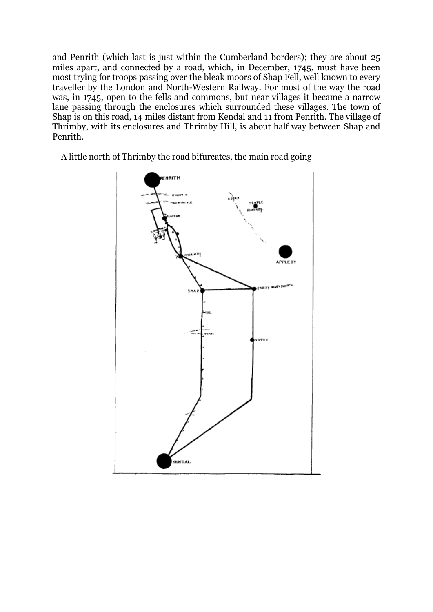and Penrith (which last is just within the Cumberland borders); they are about 25 miles apart, and connected by a road, which, in December, 1745, must have been most trying for troops passing over the bleak moors of Shap Fell, well known to every traveller by the London and North-Western Railway. For most of the way the road was, in 1745, open to the fells and commons, but near villages it became a narrow lane passing through the enclosures which surrounded these villages. The town of Shap is on this road, 14 miles distant from Kendal and 11 from Penrith. The village of Thrimby, with its enclosures and Thrimby Hill, is about half way between Shap and Penrith.

A little north of Thrimby the road bifurcates, the main road going

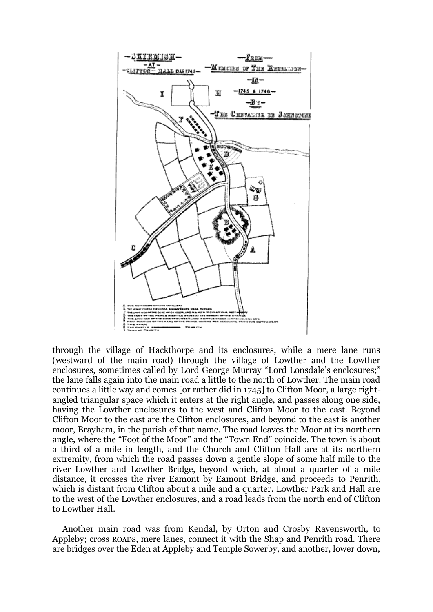

through the village of Hackthorpe and its enclosures, while a mere lane runs (westward of the main road) through the village of Lowther and the Lowther enclosures, sometimes called by Lord George Murray "Lord Lonsdale's enclosures;" the lane falls again into the main road a little to the north of Lowther. The main road continues a little way and comes [or rather did in 1745] to Clifton Moor, a large rightangled triangular space which it enters at the right angle, and passes along one side, having the Lowther enclosures to the west and Clifton Moor to the east. Beyond Clifton Moor to the east are the Clifton enclosures, and beyond to the east is another moor, Brayham, in the parish of that name. The road leaves the Moor at its northern angle, where the "Foot of the Moor" and the "Town End" coincide. The town is about a third of a mile in length, and the Church and Clifton Hall are at its northern extremity, from which the road passes down a gentle slope of some half mile to the river Lowther and Lowther Bridge, beyond which, at about a quarter of a mile distance, it crosses the river Eamont by Eamont Bridge, and proceeds to Penrith, which is distant from Clifton about a mile and a quarter. Lowther Park and Hall are to the west of the Lowther enclosures, and a road leads from the north end of Clifton to Lowther Hall.

Another main road was from Kendal, by Orton and Crosby Ravensworth, to Appleby; cross ROADS, mere lanes, connect it with the Shap and Penrith road. There are bridges over the Eden at Appleby and Temple Sowerby, and another, lower down,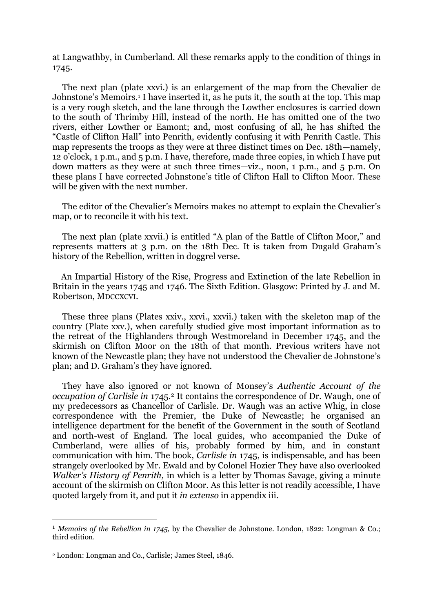at Langwathby, in Cumberland. All these remarks apply to the condition of things in 1745.

The next plan (plate xxvi.) is an enlargement of the map from the Chevalier de Johnstone's Memoirs.<sup>1</sup> I have inserted it, as he puts it, the south at the top. This map is a very rough sketch, and the lane through the Lowther enclosures is carried down to the south of Thrimby Hill, instead of the north. He has omitted one of the two rivers, either Lowther or Eamont; and, most confusing of all, he has shifted the "Castle of Clifton Hall" into Penrith, evidently confusing it with Penrith Castle. This map represents the troops as they were at three distinct times on Dec. 18th—namely, 12 o'clock, 1 p.m., and 5 p.m. I have, therefore, made three copies, in which I have put down matters as they were at such three times—viz., noon, 1 p.m., and 5 p.m. On these plans I have corrected Johnstone's title of Clifton Hall to Clifton Moor. These will be given with the next number.

The editor of the Chevalier's Memoirs makes no attempt to explain the Chevalier's map, or to reconcile it with his text.

The next plan (plate xxvii.) is entitled "A plan of the Battle of Clifton Moor," and represents matters at 3 p.m. on the 18th Dec. It is taken from Dugald Graham's history of the Rebellion, written in doggrel verse.

An Impartial History of the Rise, Progress and Extinction of the late Rebellion in Britain in the years 1745 and 1746. The Sixth Edition. Glasgow: Printed by J. and M. Robertson, MDCCXCVI.

These three plans (Plates xxiv., xxvi., xxvii.) taken with the skeleton map of the country (Plate xxv.), when carefully studied give most important information as to the retreat of the Highlanders through Westmoreland in December 1745, and the skirmish on Clifton Moor on the 18th of that month. Previous writers have not known of the Newcastle plan; they have not understood the Chevalier de Johnstone's plan; and D. Graham's they have ignored.

They have also ignored or not known of Monsey's *Authentic Account of the occupation of Carlisle in* 1745.<sup>2</sup> It contains the correspondence of Dr. Waugh, one of my predecessors as Chancellor of Carlisle. Dr. Waugh was an active Whig, in close correspondence with the Premier, the Duke of Newcastle; he organised an intelligence department for the benefit of the Government in the south of Scotland and north-west of England. The local guides, who accompanied the Duke of Cumberland, were allies of his, probably formed by him, and in constant communication with him. The book, *Carlisle in* 1745, is indispensable, and has been strangely overlooked by Mr. Ewald and by Colonel Hozier They have also overlooked *Walker's History of Penrith,* in which is a letter by Thomas Savage, giving a minute account of the skirmish on Clifton Moor. As this letter is not readily accessible, I have quoted largely from it, and put it *in extenso* in appendix iii.

<sup>1</sup> *Memoirs of the Rebellion in 1745,* by the Chevalier de Johnstone. London, 1822: Longman & Co.; third edition.

<sup>2</sup> London: Longman and Co., Carlisle; James Steel, 1846.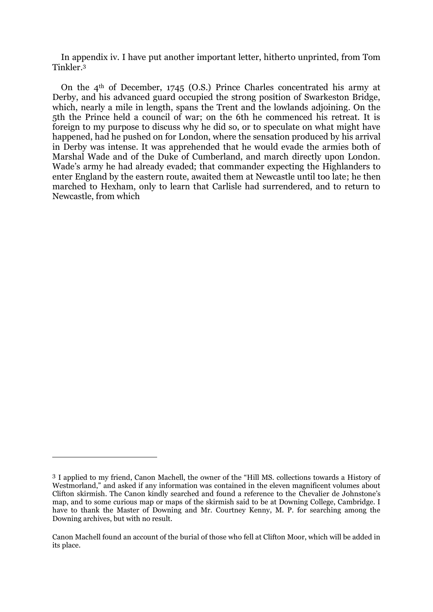In appendix iv. I have put another important letter, hitherto unprinted, from Tom Tinkler.<sup>3</sup>

On the  $4<sup>th</sup>$  of December, 1745 (O.S.) Prince Charles concentrated his army at Derby, and his advanced guard occupied the strong position of Swarkeston Bridge, which, nearly a mile in length, spans the Trent and the lowlands adjoining. On the 5th the Prince held a council of war; on the 6th he commenced his retreat. It is foreign to my purpose to discuss why he did so, or to speculate on what might have happened, had he pushed on for London, where the sensation produced by his arrival in Derby was intense. It was apprehended that he would evade the armies both of Marshal Wade and of the Duke of Cumberland, and march directly upon London. Wade's army he had already evaded; that commander expecting the Highlanders to enter England by the eastern route, awaited them at Newcastle until too late; he then marched to Hexham, only to learn that Carlisle had surrendered, and to return to Newcastle, from which

<sup>3</sup> I applied to my friend, Canon Machell, the owner of the "Hill MS. collections towards a History of Westmorland," and asked if any information was contained in the eleven magnificent volumes about Clifton skirmish. The Canon kindly searched and found a reference to the Chevalier de Johnstone's map, and to some curious map or maps of the skirmish said to be at Downing College, Cambridge. I have to thank the Master of Downing and Mr. Courtney Kenny, M. P. for searching among the Downing archives, but with no result.

Canon Machell found an account of the burial of those who fell at Clifton Moor, which will be added in its place.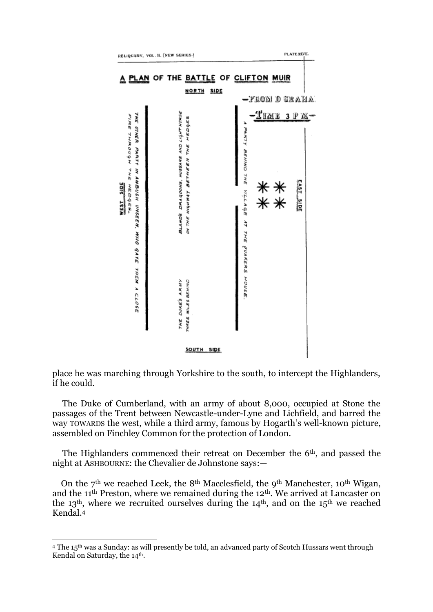

place he was marching through Yorkshire to the south, to intercept the Highlanders, if he could.

The Duke of Cumberland, with an army of about 8,000, occupied at Stone the passages of the Trent between Newcastle-under-Lyne and Lichfield, and barred the way TOWARDS the west, while a third army, famous by Hogarth's well-known picture, assembled on Finchley Common for the protection of London.

The Highlanders commenced their retreat on December the 6<sup>th</sup>, and passed the night at ASHBOURNE: the Chevalier de Johnstone says:—

On the  $7<sup>th</sup>$  we reached Leek, the 8<sup>th</sup> Macclesfield, the 9<sup>th</sup> Manchester, 10<sup>th</sup> Wigan, and the 11th Preston, where we remained during the 12th. We arrived at Lancaster on the 13<sup>th</sup>, where we recruited ourselves during the 14<sup>th</sup>, and on the 15<sup>th</sup> we reached Kendal.<sup>4</sup>

<sup>&</sup>lt;sup>4</sup> The 15<sup>th</sup> was a Sunday: as will presently be told, an advanced party of Scotch Hussars went through Kendal on Saturday, the 14<sup>th</sup>.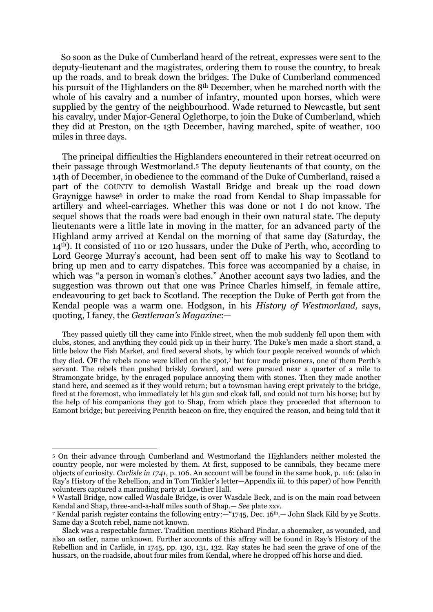So soon as the Duke of Cumberland heard of the retreat, expresses were sent to the deputy-lieutenant and the magistrates, ordering them to rouse the country, to break up the roads, and to break down the bridges. The Duke of Cumberland commenced his pursuit of the Highlanders on the 8th December, when he marched north with the whole of his cavalry and a number of infantry, mounted upon horses, which were supplied by the gentry of the neighbourhood. Wade returned to Newcastle, but sent his cavalry, under Major-General Oglethorpe, to join the Duke of Cumberland, which they did at Preston, on the 13th December, having marched, spite of weather, 100 miles in three days.

The principal difficulties the Highlanders encountered in their retreat occurred on their passage through Westmorland.<sup>5</sup> The deputy lieutenants of that county, on the 14th of December, in obedience to the command of the Duke of Cumberland, raised a part of the COUNTY to demolish Wastall Bridge and break up the road down Graynigge hawse<sup>6</sup> in order to make the road from Kendal to Shap impassable for artillery and wheel-carriages. Whether this was done or not I do not know. The sequel shows that the roads were bad enough in their own natural state. The deputy lieutenants were a little late in moving in the matter, for an advanced party of the Highland army arrived at Kendal on the morning of that same day (Saturday, the 14th). It consisted of 11o or 120 hussars, under the Duke of Perth, who, according to Lord George Murray's account, had been sent off to make his way to Scotland to bring up men and to carry dispatches. This force was accompanied by a chaise, in which was "a person in woman's clothes." Another account says two ladies, and the suggestion was thrown out that one was Prince Charles himself, in female attire, endeavouring to get back to Scotland. The reception the Duke of Perth got from the Kendal people was a warm one. Hodgson, in his *History of Westmorland,* says, quoting, I fancy, the *Gentleman's Magazine*:—

They passed quietly till they came into Finkle street, when the mob suddenly fell upon them with clubs, stones, and anything they could pick up in their hurry. The Duke's men made a short stand, a little below the Fish Market, and fired several shots, by which four people received wounds of which they died. OF the rebels none were killed on the spot,<sup>7</sup> but four made prisoners, one of them Perth's servant. The rebels then pushed briskly forward, and were pursued near a quarter of a mile to Stramongate bridge, by the enraged populace annoying them with stones. Then they made another stand here, and seemed as if they would return; but a townsman having crept privately to the bridge, fired at the foremost, who immediately let his gun and cloak fall, and could not turn his horse; but by the help of his companions they got to Shap, from which place they proceeded that afternoon to Eamont bridge; but perceiving Penrith beacon on fire, they enquired the reason, and being told that it

<sup>5</sup> On their advance through Cumberland and Westmorland the Highlanders neither molested the country people, nor were molested by them. At first, supposed to be cannibals, they became mere objects of curiosity. *Carlisle in 1741,* p. 106. An account will be found in the same book, p. 116: (also in Ray's History of the Rebellion, and in Tom Tinkler's letter—Appendix iii. to this paper) of how Penrith volunteers captured a marauding party at Lowther Hall.

<sup>6</sup> Wastall Bridge, now called Wasdale Bridge, is over Wasdale Beck, and is on the main road between Kendal and Shap, three-and-a-half miles south of Shap.— *See* plate xxv.

<sup>7</sup> Kendal parish register contains the following entry:—"1745, Dec. 16th.— John Slack Kild by ye Scotts. Same day a Scotch rebel, name not known.

Slack was a respectable farmer. Tradition mentions Richard Pindar, a shoemaker, as wounded, and also an ostler, name unknown. Further accounts of this affray will be found in Ray's History of the Rebellion and in Carlisle, in 1745, pp. 130, 131, 132. Ray states he had seen the grave of one of the hussars, on the roadside, about four miles from Kendal, where he dropped off his horse and died.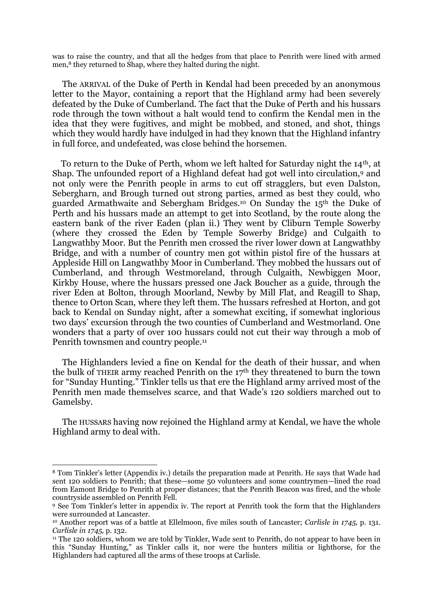was to raise the country, and that all the hedges from that place to Penrith were lined with armed men,<sup>8</sup> they returned to Shap, where they halted during the night.

The ARRIVAL of the Duke of Perth in Kendal had been preceded by an anonymous letter to the Mayor, containing a report that the Highland army had been severely defeated by the Duke of Cumberland. The fact that the Duke of Perth and his hussars rode through the town without a halt would tend to confirm the Kendal men in the idea that they were fugitives, and might be mobbed, and stoned, and shot, things which they would hardly have indulged in had they known that the Highland infantry in full force, and undefeated, was close behind the horsemen.

To return to the Duke of Perth, whom we left halted for Saturday night the 14th, at Shap. The unfounded report of a Highland defeat had got well into circulation,<sup>9</sup> and not only were the Penrith people in arms to cut off stragglers, but even Dalston, Sebergharn, and Brough turned out strong parties, armed as best they could, who guarded Armathwaite and Sebergham Bridges.<sup>10</sup> On Sunday the 15th the Duke of Perth and his hussars made an attempt to get into Scotland, by the route along the eastern bank of the river Eaden (plan ii.) They went by Cliburn Temple Sowerby (where they crossed the Eden by Temple Sowerby Bridge) and Culgaith to Langwathby Moor. But the Penrith men crossed the river lower down at Langwathby Bridge, and with a number of country men got within pistol fire of the hussars at Appleside Hill on Langwathby Moor in Cumberland. They mobbed the hussars out of Cumberland, and through Westmoreland, through Culgaith, Newbiggen Moor, Kirkby House, where the hussars pressed one Jack Boucher as a guide, through the river Eden at Bolton, through Moorland, Newby by Mill Flat, and Reagill to Shap, thence to Orton Scan, where they left them. The hussars refreshed at Horton, and got back to Kendal on Sunday night, after a somewhat exciting, if somewhat inglorious two days' excursion through the two counties of Cumberland and Westmorland. One wonders that a party of over 100 hussars could not cut their way through a mob of Penrith townsmen and country people.<sup>11</sup>

The Highlanders levied a fine on Kendal for the death of their hussar, and when the bulk of THEIR army reached Penrith on the 17th they threatened to burn the town for "Sunday Hunting." Tinkler tells us that ere the Highland army arrived most of the Penrith men made themselves scarce, and that Wade's 120 soldiers marched out to Gamelsby.

The HUSSARS having now rejoined the Highland army at Kendal, we have the whole Highland army to deal with.

<sup>8</sup> Tom Tinkler's letter (Appendix iv.) details the preparation made at Penrith. He says that Wade had sent 120 soldiers to Penrith; that these—some 50 volunteers and some countrymen—lined the road from Eamont Bridge to Penrith at proper distances; that the Penrith Beacon was fired, and the whole countryside assembled on Penrith Fell.

<sup>9</sup> See Tom Tinkler's letter in appendix iv. The report at Penrith took the form that the Highlanders were surrounded at Lancaster.

<sup>10</sup> Another report was of a battle at Ellelmoon, five miles south of Lancaster; *Carlisle in 1745,* p. 131. *Carlisle in 1745,* p. 132.

<sup>11</sup> The 120 soldiers, whom we are told by Tinkler, Wade sent to Penrith, do not appear to have been in this "Sunday Hunting," as Tinkler calls it, nor were the hunters militia or lighthorse, for the Highlanders had captured all the arms of these troops at Carlisle.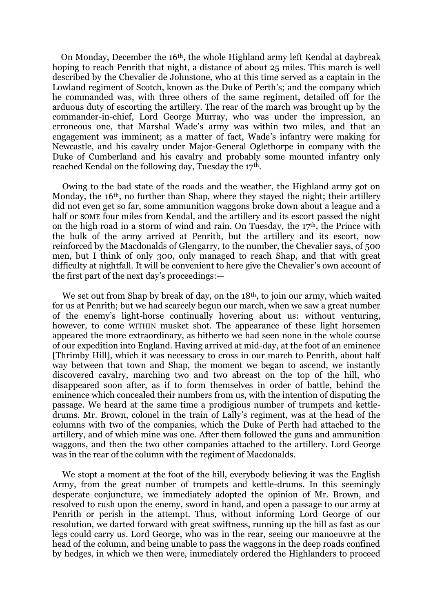On Monday, December the 16th, the whole Highland army left Kendal at daybreak hoping to reach Penrith that night, a distance of about 25 miles. This march is well described by the Chevalier de Johnstone, who at this time served as a captain in the Lowland regiment of Scotch, known as the Duke of Perth's; and the company which he commanded was, with three others of the same regiment, detailed off for the arduous duty of escorting the artillery. The rear of the march was brought up by the commander-in-chief, Lord George Murray, who was under the impression, an erroneous one, that Marshal Wade's army was within two miles, and that an engagement was imminent; as a matter of fact, Wade's infantry were making for Newcastle, and his cavalry under Major-General Oglethorpe in company with the Duke of Cumberland and his cavalry and probably some mounted infantry only reached Kendal on the following day, Tuesday the 17th.

Owing to the bad state of the roads and the weather, the Highland army got on Monday, the 16<sup>th</sup>, no further than Shap, where they stayed the night; their artillery did not even get so far, some ammunition waggons broke down about a league and a half or SOME four miles from Kendal, and the artillery and its escort passed the night on the high road in a storm of wind and rain. On Tuesday, the 17th, the Prince with the bulk of the army arrived at Penrith, but the artillery and its escort, now reinforced by the Macdonalds of Glengarry, to the number, the Chevalier says, of 500 men, but I think of only 300, only managed to reach Shap, and that with great difficulty at nightfall. It will be convenient to here give the Chevalier's own account of the first part of the next day's proceedings:—

We set out from Shap by break of day, on the 18<sup>th</sup>, to join our army, which waited for us at Penrith; but we had scarcely begun our march, when we saw a great number of the enemy's light-horse continually hovering about us: without venturing, however, to come WITHIN musket shot. The appearance of these light horsemen appeared the more extraordinary, as hitherto we had seen none in the whole course of our expedition into England. Having arrived at mid-day, at the foot of an eminence [Thrimby Hill], which it was necessary to cross in our march to Penrith, about half way between that town and Shap, the moment we began to ascend, we instantly discovered cavalry, marching two and two abreast on the top of the hill, who disappeared soon after, as if to form themselves in order of battle, behind the eminence which concealed their numbers from us, with the intention of disputing the passage. We heard at the same time a prodigious number of trumpets and kettledrums. Mr. Brown, colonel in the train of Lally's regiment, was at the head of the columns with two of the companies, which the Duke of Perth had attached to the artillery, and of which mine was one. After them followed the guns and ammunition waggons, and then the two other companies attached to the artillery. Lord George was in the rear of the column with the regiment of Macdonalds.

We stopt a moment at the foot of the hill, everybody believing it was the English Army, from the great number of trumpets and kettle-drums. In this seemingly desperate conjuncture, we immediately adopted the opinion of Mr. Brown, and resolved to rush upon the enemy, sword in hand, and open a passage to our army at Penrith or perish in the attempt. Thus, without informing Lord George of our resolution, we darted forward with great swiftness, running up the hill as fast as our legs could carry us. Lord George, who was in the rear, seeing our manoeuvre at the head of the column, and being unable to pass the waggons in the deep roads confined by hedges, in which we then were, immediately ordered the Highlanders to proceed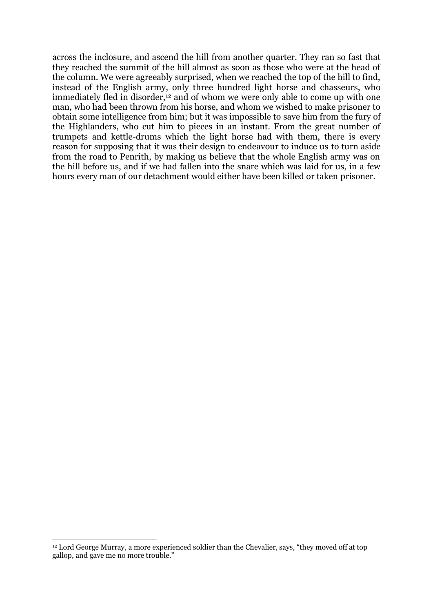across the inclosure, and ascend the hill from another quarter. They ran so fast that they reached the summit of the hill almost as soon as those who were at the head of the column. We were agreeably surprised, when we reached the top of the hill to find, instead of the English army, only three hundred light horse and chasseurs, who immediately fled in disorder,<sup>12</sup> and of whom we were only able to come up with one man, who had been thrown from his horse, and whom we wished to make prisoner to obtain some intelligence from him; but it was impossible to save him from the fury of the Highlanders, who cut him to pieces in an instant. From the great number of trumpets and kettle-drums which the light horse had with them, there is every reason for supposing that it was their design to endeavour to induce us to turn aside from the road to Penrith, by making us believe that the whole English army was on the hill before us, and if we had fallen into the snare which was laid for us, in a few hours every man of our detachment would either have been killed or taken prisoner.

<sup>12</sup> Lord George Murray, a more experienced soldier than the Chevalier, says, "they moved off at top gallop, and gave me no more trouble."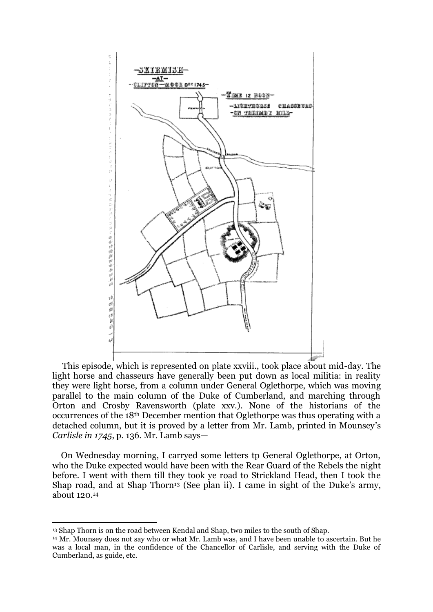

This episode, which is represented on plate xxviii., took place about mid-day. The light horse and chasseurs have generally been put down as local militia: in reality they were light horse, from a column under General Oglethorpe, which was moving parallel to the main column of the Duke of Cumberland, and marching through Orton and Crosby Ravensworth (plate xxv.). None of the historians of the occurrences of the 18th December mention that Oglethorpe was thus operating with a detached column, but it is proved by a letter from Mr. Lamb, printed in Mounsey's *Carlisle in 1745*, p. 136. Mr. Lamb says—

On Wednesday morning, I carryed some letters tp General Oglethorpe, at Orton, who the Duke expected would have been with the Rear Guard of the Rebels the night before. I went with them till they took ye road to Strickland Head, then I took the Shap road, and at Shap Thorn<sup>13</sup> (See plan ii). I came in sight of the Duke's army, about 120.<sup>14</sup>

<sup>13</sup> Shap Thorn is on the road between Kendal and Shap, two miles to the south of Shap.

<sup>14</sup> Mr. Mounsey does not say who or what Mr. Lamb was, and I have been unable to ascertain. But he was a local man, in the confidence of the Chancellor of Carlisle, and serving with the Duke of Cumberland, as guide, etc.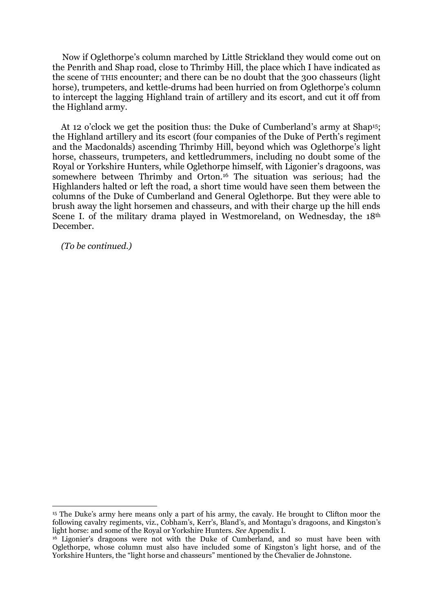Now if Oglethorpe's column marched by Little Strickland they would come out on the Penrith and Shap road, close to Thrimby Hill, the place which I have indicated as the scene of THIS encounter; and there can be no doubt that the 300 chasseurs (light horse), trumpeters, and kettle-drums had been hurried on from Oglethorpe's column to intercept the lagging Highland train of artillery and its escort, and cut it off from the Highland army.

At 12 o'clock we get the position thus: the Duke of Cumberland's army at Shap<sup>15</sup>; the Highland artillery and its escort (four companies of the Duke of Perth's regiment and the Macdonalds) ascending Thrimby Hill, beyond which was Oglethorpe's light horse, chasseurs, trumpeters, and kettledrummers, including no doubt some of the Royal or Yorkshire Hunters, while Oglethorpe himself, with Ligonier's dragoons, was somewhere between Thrimby and Orton.<sup>16</sup> The situation was serious; had the Highlanders halted or left the road, a short time would have seen them between the columns of the Duke of Cumberland and General Oglethorpe. But they were able to brush away the light horsemen and chasseurs, and with their charge up the hill ends Scene I, of the military drama played in Westmoreland, on Wednesday, the 18<sup>th</sup> December.

*(To be continued.)*

<sup>15</sup> The Duke's army here means only a part of his army, the cavaly. He brought to Clifton moor the following cavalry regiments, viz., Cobham's, Kerr's, Bland's, and Montagu's dragoons, and Kingston's light horse: and some of the Royal or Yorkshire Hunters. *See* Appendix I.

<sup>&</sup>lt;sup>16</sup> Ligonier's dragoons were not with the Duke of Cumberland, and so must have been with Oglethorpe, whose column must also have included some of Kingston's light horse, and of the Yorkshire Hunters, the "light horse and chasseurs" mentioned by the Chevalier de Johnstone.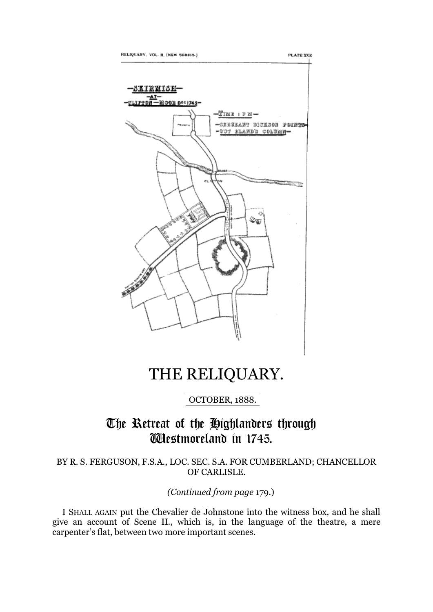





## THE RELIQUARY.

OCTOBER, 1888.

### The Retreat of the Highlanders through Westmoreland in 1745.

BY R. S. FERGUSON, F.S.A., LOC. SEC. S.A. FOR CUMBERLAND; CHANCELLOR OF CARLISLE.

*(Continued from page* 179.)

I SHALL AGAIN put the Chevalier de Johnstone into the witness box, and he shall give an account of Scene II., which is, in the language of the theatre, a mere carpenter's flat, between two more important scenes.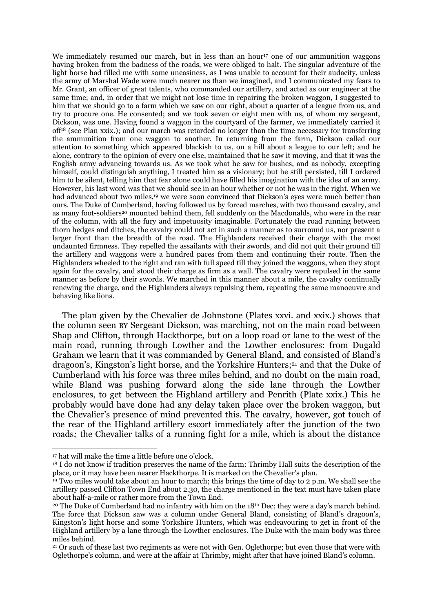We immediately resumed our march, but in less than an hour<sup>17</sup> one of our ammunition waggons having broken from the badness of the roads, we were obliged to halt. The singular adventure of the light horse had filled me with some uneasiness, as I was unable to account for their audacity, unless the army of Marshal Wade were much nearer us than we imagined, and I communicated my fears to Mr. Grant, an officer of great talents, who commanded our artillery, and acted as our engineer at the same time; and, in order that we might not lose time in repairing the broken waggon, I suggested to him that we should go to a farm which we saw on our right, about a quarter of a league from us, and try to procure one. He consented; and we took seven or eight men with us, of whom my sergeant, Dickson, was one. Having found a waggon in the courtyard of the farmer, we immediately carried it off<sup>18</sup> (see Plan xxix.); and our march was retarded no longer than the time necessary for transferring the ammunition from one waggon to another. In returning from the farm, Dickson called our attention to something which appeared blackish to us, on a hill about a league to our left; and he alone, contrary to the opinion of every one else, maintained that he saw it moving, and that it was the English army advancing towards us. As we took what he saw for bushes, and as nobody, excepting himself, could distinguish anything, I treated him as a visionary; but he still persisted, till I ordered him to be silent, telling him that fear alone could have filled his imagination with the idea of an army. However, his last word was that we should see in an hour whether or not he was in the right. When we had advanced about two miles,<sup>19</sup> we were soon convinced that Dickson's eyes were much better than ours. The Duke of Cumberland, having followed us by forced marches, with two thousand cavalry, and as many foot-soldiers<sup>20</sup> mounted behind them, fell suddenly on the Macdonalds, who were in the rear of the column, with all the fury and impetuosity imaginable. Fortunately the road running between thorn hedges and ditches, the cavalry could not act in such a manner as to surround us, nor present a larger front than the breadth of the road. The Highlanders received their charge with the most undaunted firmness. They repelled the assailants with their swords, and did not quit their ground till the artillery and waggons were a hundred paces from them and continuing their route. Then the Highlanders wheeled to the right and ran with full speed till they joined the waggons, when they stopt again for the cavalry, and stood their charge as firm as a wall. The cavalry were repulsed in the same manner as before by their swords. We marched in this manner about a mile, the cavalry continually renewing the charge, and the Highlanders always repulsing them, repeating the same manoeuvre and behaving like lions.

The plan given by the Chevalier de Johnstone (Plates xxvi. and xxix.) shows that the column seen BY Sergeant Dickson, was marching, not on the main road between Shap and Clifton, through Hackthorpe, but on a loop road or lane to the west of the main road, running through Lowther and the Lowther enclosures: from Dugald Graham we learn that it was commanded by General Bland, and consisted of Bland's dragoon's, Kingston's light horse, and the Yorkshire Hunters; <sup>21</sup> and that the Duke of Cumberland with his force was three miles behind, and no doubt on the main road, while Bland was pushing forward along the side lane through the Lowther enclosures, to get between the Highland artillery and Penrith (Plate xxix.) This he probably would have done had any delay taken place over the broken waggon, but the Chevalier's presence of mind prevented this. The cavalry, however, got touch of the rear of the Highland artillery escort immediately after the junction of the two roads*;* the Chevalier talks of a running fight for a mile, which is about the distance

<sup>17</sup> hat will make the time a little before one o'clock.

<sup>&</sup>lt;sup>18</sup> I do not know if tradition preserves the name of the farm: Thrimby Hall suits the description of the place, or it may have been nearer Hackthorpe. It is marked on the Chevalier's plan.

<sup>19</sup> Two miles would take about an hour to march; this brings the time of day to 2 p.m. We shall see the artillery passed Clifton Town End about 2.30, the charge mentioned in the text must have taken place about half-a-mile or rather more from the Town End.

<sup>&</sup>lt;sup>20</sup> The Duke of Cumberland had no infantry with him on the 18<sup>th</sup> Dec; they were a day's march behind. The force that Dickson saw was a column under General Bland, consisting of Bland's dragoon's, Kingston's light horse and some Yorkshire Hunters, which was endeavouring to get in front of the Highland artillery by a lane through the Lowther enclosures. The Duke with the main body was three miles behind.

<sup>&</sup>lt;sup>21</sup> Or such of these last two regiments as were not with Gen. Oglethorpe; but even those that were with Oglethorpe's column, and were at the affair at Thrimby, might after that have joined Bland's column.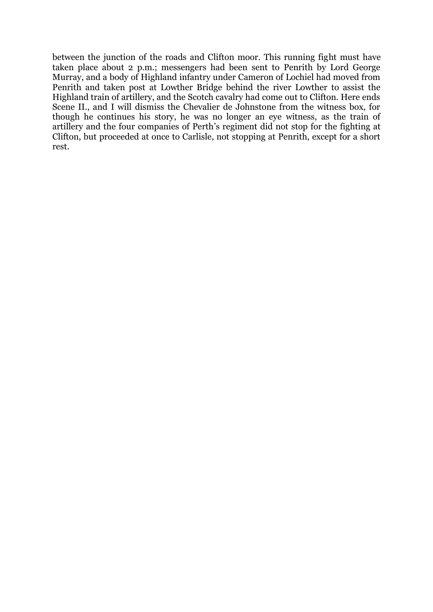between the junction of the roads and Clifton moor. This running fight must have taken place about 2 p.m.; messengers had been sent to Penrith by Lord George Murray, and a body of Highland infantry under Cameron of Lochiel had moved from Penrith and taken post at Lowther Bridge behind the river Lowther to assist the Highland train of artillery, and the Scotch cavalry had come out to Clifton. Here ends Scene II., and I will dismiss the Chevalier de Johnstone from the witness box, for though he continues his story, he was no longer an eye witness, as the train of artillery and the four companies of Perth's regiment did not stop for the fighting at Clifton, but proceeded at once to Carlisle, not stopping at Penrith, except for a short rest.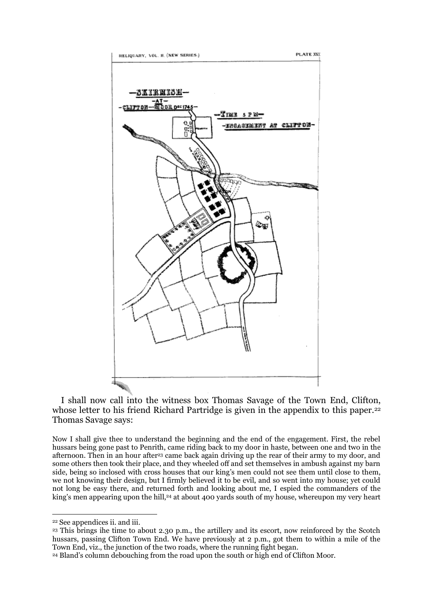

I shall now call into the witness box Thomas Savage of the Town End, Clifton, whose letter to his friend Richard Partridge is given in the appendix to this paper.<sup>22</sup> Thomas Savage says:

Now I shall give thee to understand the beginning and the end of the engagement. First, the rebel hussars being gone past to Penrith, came riding back to my door in haste, between one and two in the afternoon. Then in an hour after<sup>23</sup> came back again driving up the rear of their army to my door, and some others then took their place, and they wheeled off and set themselves in ambush against my barn side, being so inclosed with cross houses that our king's men could not see them until close to them, we not knowing their design, but I firmly believed it to be evil, and so went into my house; yet could not long be easy there, and returned forth and looking about me, I espied the commanders of the king's men appearing upon the hill,<sup>24</sup> at about 400 yards south of my house, whereupon my very heart

<sup>23</sup> This brings ihe time to about 2.30 p.m., the artillery and its escort, now reinforced by the Scotch hussars, passing Clifton Town End. We have previously at 2 p.m., got them to within a mile of the Town End, viz., the junction of the two roads, where the running fight began.

<sup>24</sup> Bland's column debouching from the road upon the south or high end of Clifton Moor.

<sup>&</sup>lt;u>.</u> <sup>22</sup> See appendices ii. and iii.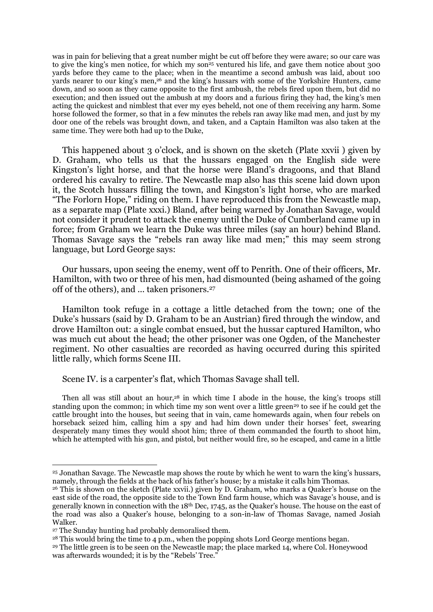was in pain for believing that a great number might be cut off before they were aware; so our care was to give the king's men notice, for which my son<sup>25</sup> ventured his life, and gave them notice about 300 yards before they came to the place; when in the meantime a second ambush was laid, about 100 yards nearer to our king's men,<sup>26</sup> and the king's hussars with some of the Yorkshire Hunters, came down, and so soon as they came opposite to the first ambush, the rebels fired upon them, but did no execution; and then issued out the ambush at my doors and a furious firing they had, the king's men acting the quickest and nimblest that ever my eyes beheld, not one of them receiving any harm. Some horse followed the former, so that in a few minutes the rebels ran away like mad men, and just by my door one of the rebels was brought down, and taken, and a Captain Hamilton was also taken at the same time. They were both had up to the Duke,

This happened about 3 o'clock, and is shown on the sketch (Plate xxvii ) given by D. Graham, who tells us that the hussars engaged on the English side were Kingston's light horse, and that the horse were Bland's dragoons, and that Bland ordered his cavalry to retire. The Newcastle map also has this scene laid down upon it, the Scotch hussars filling the town, and Kingston's light horse, who are marked "The Forlorn Hope," riding on them. I have reproduced this from the Newcastle map, as a separate map (Plate xxxi.) Bland, after being warned by Jonathan Savage, would not consider it prudent to attack the enemy until the Duke of Cumberland came up in force; from Graham we learn the Duke was three miles (say an hour) behind Bland. Thomas Savage says the "rebels ran away like mad men;" this may seem strong language, but Lord George says:

Our hussars, upon seeing the enemy, went off to Penrith. One of their officers, Mr. Hamilton, with two or three of his men, had dismounted (being ashamed of the going off of the others), and ... taken prisoners.<sup>27</sup>

Hamilton took refuge in a cottage a little detached from the town; one of the Duke's hussars (said by D. Graham to be an Austrian) fired through the window, and drove Hamilton out: a single combat ensued, but the hussar captured Hamilton, who was much cut about the head; the other prisoner was one Ogden, of the Manchester regiment. No other casualties are recorded as having occurred during this spirited little rally, which forms Scene III.

Scene IV. is a carpenter's flat, which Thomas Savage shall tell.

Then all was still about an hour,<sup>28</sup> in which time I abode in the house, the king's troops still standing upon the common; in which time my son went over a little green<sup>29</sup> to see if he could get the cattle brought into the houses, but seeing that in vain, came homewards again, when four rebels on horseback seized him, calling him a spy and had him down under their horses' feet, swearing desperately many times they would shoot him; three of them commanded the fourth to shoot him, which he attempted with his gun, and pistol, but neither would fire, so he escaped, and came in a little

<sup>25</sup> Jonathan Savage. The Newcastle map shows the route by which he went to warn the king's hussars, namely, through the fields at the back of his father's house; by a mistake it calls him Thomas.

<sup>26</sup> This is shown on the sketch (Plate xxvii.) given by D. Graham, who marks a Quaker's house on the east side of the road, the opposite side to the Town End farm house, which was Savage's house, and is generally known in connection with the 18<sup>th</sup> Dec, 1745, as the Quaker's house. The house on the east of the road was also a Quaker's house, belonging to a son-in-law of Thomas Savage, named Josiah Walker.

<sup>27</sup> The Sunday hunting had probably demoralised them.

<sup>28</sup> This would bring the time to 4 p.m., when the popping shots Lord George mentions began.

<sup>&</sup>lt;sup>29</sup> The little green is to be seen on the Newcastle map; the place marked 14, where Col. Honeywood was afterwards wounded; it is by the "Rebels' Tree."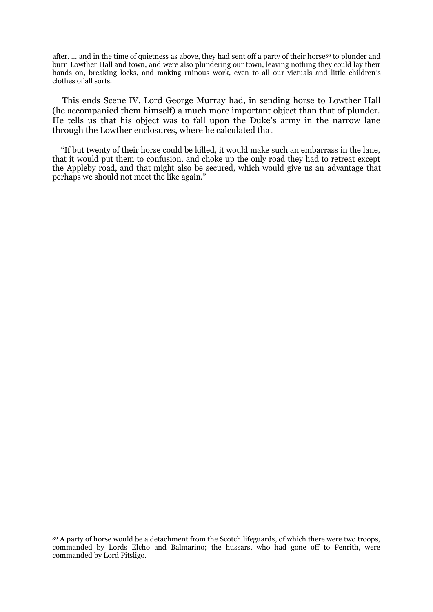after. ... and in the time of quietness as above, they had sent off a party of their horse<sup>30</sup> to plunder and burn Lowther Hall and town, and were also plundering our town, leaving nothing they could lay their hands on, breaking locks, and making ruinous work, even to all our victuals and little children's clothes of all sorts.

This ends Scene IV. Lord George Murray had, in sending horse to Lowther Hall (he accompanied them himself) a much more important object than that of plunder. He tells us that his object was to fall upon the Duke's army in the narrow lane through the Lowther enclosures, where he calculated that

"If but twenty of their horse could be killed, it would make such an embarrass in the lane, that it would put them to confusion, and choke up the only road they had to retreat except the Appleby road, and that might also be secured, which would give us an advantage that perhaps we should not meet the like again."

<sup>&</sup>lt;sup>30</sup> A party of horse would be a detachment from the Scotch lifeguards, of which there were two troops, commanded by Lords Elcho and Balmarino; the hussars, who had gone off to Penrith, were commanded by Lord Pitsligo.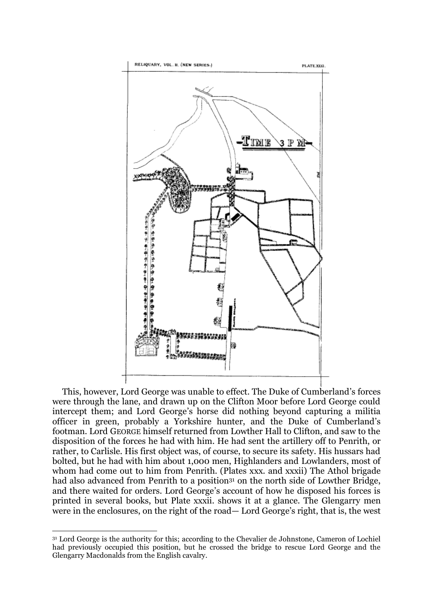

This, however, Lord George was unable to effect. The Duke of Cumberland's forces were through the lane, and drawn up on the Clifton Moor before Lord George could intercept them; and Lord George's horse did nothing beyond capturing a militia officer in green, probably a Yorkshire hunter, and the Duke of Cumberland's footman. Lord GEORGE himself returned from Lowther Hall to Clifton, and saw to the disposition of the forces he had with him. He had sent the artillery off to Penrith, or rather, to Carlisle. His first object was, of course, to secure its safety. His hussars had bolted, but he had with him about 1,000 men, Highlanders and Lowlanders, most of whom had come out to him from Penrith. (Plates xxx. and xxxii) The Athol brigade had also advanced from Penrith to a position<sup>31</sup> on the north side of Lowther Bridge, and there waited for orders. Lord George's account of how he disposed his forces is printed in several books, but Plate xxxii. shows it at a glance. The Glengarry men were in the enclosures, on the right of the road— Lord George's right, that is, the west

<sup>31</sup> Lord George is the authority for this; according to the Chevalier de Johnstone, Cameron of Lochiel had previously occupied this position, but he crossed the bridge to rescue Lord George and the Glengarry Macdonalds from the English cavalry.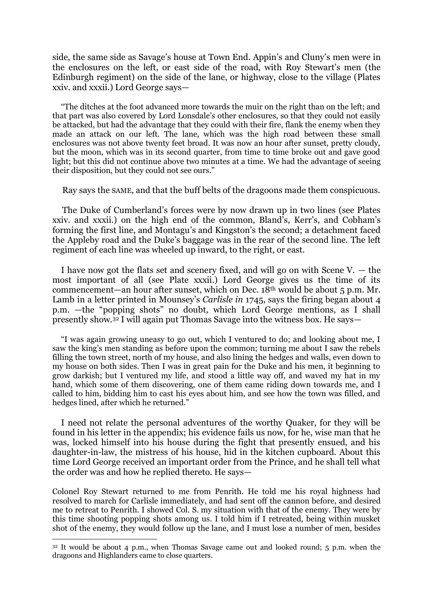side, the same side as Savage's house at Town End. Appin's and Cluny's men were in the enclosures on the left, or east side of the road, with Roy Stewart's men (the Edinburgh regiment) on the side of the lane, or highway, close to the village (Plates xxiv. and xxxii.) Lord George says—

"The ditches at the foot advanced more towards the muir on the right than on the left; and that part was also covered by Lord Lonsdale's other enclosures, so that they could not easily be attacked, but had the advantage that they could with their fire, flank the enemy when they made an attack on our left. The lane, which was the high road between these small enclosures was not above twenty feet broad. It was now an hour after sunset, pretty cloudy, but the moon, which was in its second quarter, from time to time broke out and gave good light; but this did not continue above two minutes at a time. We had the advantage of seeing their disposition, but they could not see ours."

Ray says the SAME, and that the buff belts of the dragoons made them conspicuous.

The Duke of Cumberland's forces were by now drawn up in two lines (see Plates xxiv. and xxxii.) on the high end of the common, Bland's, Kerr's, and Cobham's forming the first line, and Montagu's and Kingston's the second; a detachment faced the Appleby road and the Duke's baggage was in the rear of the second line. The left regiment of each line was wheeled up inward, to the right, or east.

I have now got the flats set and scenery fixed, and will go on with Scene V. — the most important of all (see Plate xxxii.) Lord George gives us the time of its commencement—an hour after sunset, which on Dec. 18th would be about 5 p.m. Mr. Lamb in a letter printed in Mounsey's *Carlisle in* 1745, says the firing began about 4 p.m. —the "popping shots" no doubt, which Lord George mentions, as I shall presently show.<sup>32</sup> I will again put Thomas Savage into the witness box. He says—

"I was again growing uneasy to go out, which I ventured to do; and looking about me, I saw the king's men standing as before upon the common; turning me about I saw the rebels filling the town street, north of my house, and also lining the hedges and walls, even down to my house on both sides. Then I was in great pain for the Duke and his men, it beginning to grow darkish; but I ventured my life, and stood a little way off, and waved my hat in my hand, which some of them discovering, one of them came riding down towards me, and I called to him, bidding him to cast his eyes about him, and see how the town was filled, and hedges lined, after which he returned."

I need not relate the personal adventures of the worthy Quaker, for they will be found in his letter in the appendix; his evidence fails us now, for he, wise man that he was, locked himself into his house during the fight that presently ensued, and his daughter-in-law, the mistress of his house, hid in the kitchen cupboard. About this time Lord George received an important order from the Prince, and he shall tell what the order was and how he replied thereto. He says—

Colonel Roy Stewart returned to me from Penrith. He told me his royal highness had resolved to march for Carlisle immediately, and had sent off the cannon before, and desired me to retreat to Penrith. I showed Col. S. my situation with that of the enemy. They were by this time shooting popping shots among us. I told him if I retreated, being within musket shot of the enemy, they would follow up the lane, and I must lose a number of men, besides

 $32$  It would be about 4 p.m., when Thomas Savage came out and looked round; 5 p.m. when the dragoons and Highlanders came to close quarters.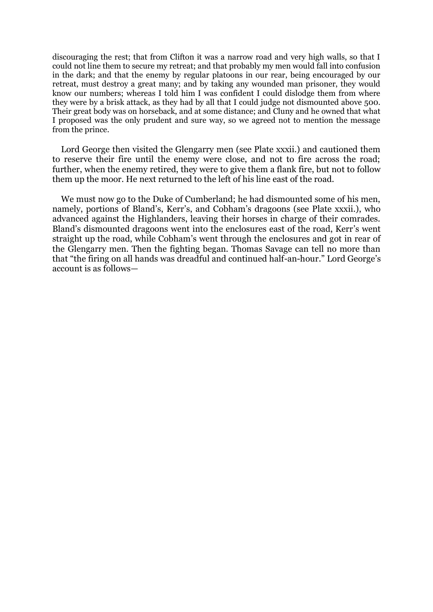discouraging the rest; that from Clifton it was a narrow road and very high walls, so that I could not line them to secure my retreat; and that probably my men would fall into confusion in the dark; and that the enemy by regular platoons in our rear, being encouraged by our retreat, must destroy a great many; and by taking any wounded man prisoner, they would know our numbers; whereas I told him I was confident I could dislodge them from where they were by a brisk attack, as they had by all that I could judge not dismounted above 500. Their great body was on horseback, and at some distance; and Cluny and he owned that what I proposed was the only prudent and sure way, so we agreed not to mention the message from the prince.

Lord George then visited the Glengarry men (see Plate xxxii.) and cautioned them to reserve their fire until the enemy were close, and not to fire across the road; further, when the enemy retired, they were to give them a flank fire, but not to follow them up the moor. He next returned to the left of his line east of the road.

We must now go to the Duke of Cumberland; he had dismounted some of his men, namely, portions of Bland's, Kerr's, and Cobham's dragoons (see Plate xxxii.), who advanced against the Highlanders, leaving their horses in charge of their comrades. Bland's dismounted dragoons went into the enclosures east of the road, Kerr's went straight up the road, while Cobham's went through the enclosures and got in rear of the Glengarry men. Then the fighting began. Thomas Savage can tell no more than that "the firing on all hands was dreadful and continued half-an-hour." Lord George's account is as follows—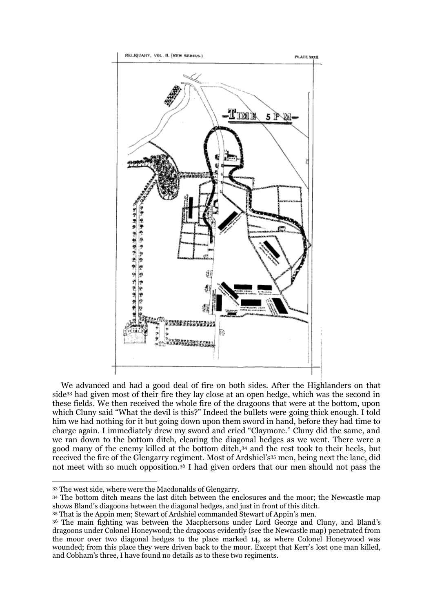

We advanced and had a good deal of fire on both sides. After the Highlanders on that side<sup>33</sup> had given most of their fire they lay close at an open hedge, which was the second in these fields. We then received the whole fire of the dragoons that were at the bottom, upon which Cluny said "What the devil is this?" Indeed the bullets were going thick enough. I told him we had nothing for it but going down upon them sword in hand, before they had time to charge again. I immediately drew my sword and cried "Claymore." Cluny did the same, and we ran down to the bottom ditch, clearing the diagonal hedges as we went. There were a good many of the enemy killed at the bottom ditch,<sup>34</sup> and the rest took to their heels, but received the fire of the Glengarry regiment. Most of Ardshiel's<sup>35</sup> men, being next the lane, did not meet with so much opposition.<sup>36</sup> I had given orders that our men should not pass the

<sup>33</sup> The west side, where were the Macdonalds of Glengarry.

<sup>34</sup> The bottom ditch means the last ditch between the enclosures and the moor; the Newcastle map shows Bland's diagoons between the diagonal hedges, and just in front of this ditch.

<sup>35</sup> That is the Appin men; Stewart of Ardshiel commanded Stewart of Appin's men.

<sup>36</sup> The main fighting was between the Macphersons under Lord George and Cluny, and Bland's dragoons under Colonel Honeywood; the dragoons evidently (see the Newcastle map) penetrated from the moor over two diagonal hedges to the place marked 14, as where Colonel Honeywood was wounded; from this place they were driven back to the moor. Except that Kerr's lost one man killed, and Cobham's three, I have found no details as to these two regiments.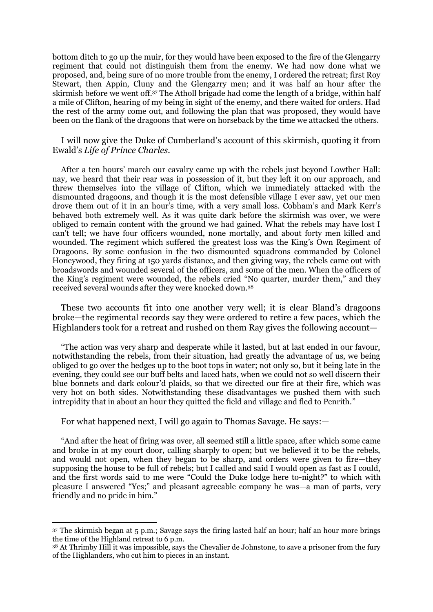bottom ditch to go up the muir, for they would have been exposed to the fire of the Glengarry regiment that could not distinguish them from the enemy. We had now done what we proposed, and, being sure of no more trouble from the enemy, I ordered the retreat; first Roy Stewart, then Appin, Cluny and the Glengarry men; and it was half an hour after the skirmish before we went off.<sup>37</sup> The Atholl brigade had come the length of a bridge, within half a mile of Clifton, hearing of my being in sight of the enemy, and there waited for orders. Had the rest of the army come out, and following the plan that was proposed, they would have been on the flank of the dragoons that were on horseback by the time we attacked the others.

### I will now give the Duke of Cumberland's account of this skirmish, quoting it from Ewald's *Life of Prince Charles.*

After a ten hours' march our cavalry came up with the rebels just beyond Lowther Hall: nay, we heard that their rear was in possession of it, but they left it on our approach, and threw themselves into the village of Clifton, which we immediately attacked with the dismounted dragoons, and though it is the most defensible village I ever saw, yet our men drove them out of it in an hour's time, with a very small loss. Cobham's and Mark Kerr's behaved both extremely well. As it was quite dark before the skirmish was over, we were obliged to remain content with the ground we had gained. What the rebels may have lost I can't tell; we have four officers wounded, none mortally, and about forty men killed and wounded. The regiment which suffered the greatest loss was the King's Own Regiment of Dragoons. By some confusion in the two dismounted squadrons commanded by Colonel Honeywood, they firing at 150 yards distance, and then giving way, the rebels came out with broadswords and wounded several of the officers, and some of the men. When the officers of the King's regiment were wounded, the rebels cried "No quarter, murder them," and they received several wounds after they were knocked down.<sup>38</sup>

These two accounts fit into one another very well; it is clear Bland's dragoons broke—the regimental records say they were ordered to retire a few paces, which the Highlanders took for a retreat and rushed on them Ray gives the following account—

"The action was very sharp and desperate while it lasted, but at last ended in our favour, notwithstanding the rebels, from their situation, had greatly the advantage of us, we being obliged to go over the hedges up to the boot tops in water; not only so, but it being late in the evening, they could see our buff belts and laced hats, when we could not so well discern their blue bonnets and dark colour'd plaids, so that we directed our fire at their fire, which was very hot on both sides. Notwithstanding these disadvantages we pushed them with such intrepidity that in about an hour they quitted the field and village and fled to Penrith."

### For what happened next, I will go again to Thomas Savage. He says:—

<u>.</u>

"And after the heat of firing was over, all seemed still a little space, after which some came and broke in at my court door, calling sharply to open; but we believed it to be the rebels, and would not open, when they began to be sharp, and orders were given to fire—they supposing the house to be full of rebels; but I called and said I would open as fast as I could, and the first words said to me were "Could the Duke lodge here to-night?" to which with pleasure I answered "Yes;" and pleasant agreeable company he was—a man of parts, very friendly and no pride in him."

<sup>37</sup> The skirmish began at 5 p.m.; Savage says the firing lasted half an hour; half an hour more brings the time of the Highland retreat to 6 p.m.

<sup>38</sup> At Thrimby Hill it was impossible, says the Chevalier de Johnstone, to save a prisoner from the fury of the Highlanders, who cut him to pieces in an instant.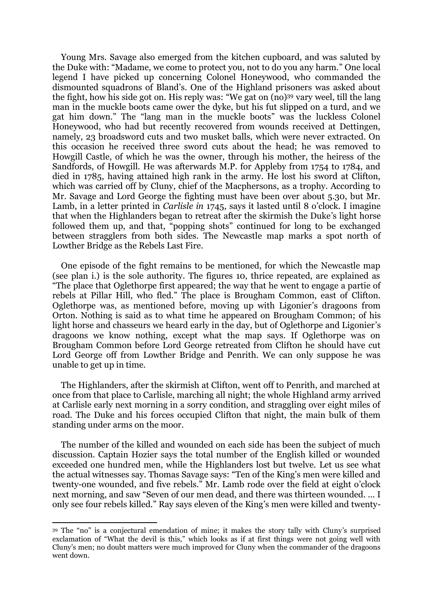Young Mrs. Savage also emerged from the kitchen cupboard, and was saluted by the Duke with: "Madame, we come to protect you, not to do you any harm." One local legend I have picked up concerning Colonel Honeywood, who commanded the dismounted squadrons of Bland's. One of the Highland prisoners was asked about the fight, how his side got on. His reply was: "We gat on (no)<sup>39</sup> vary weel, till the lang man in the muckle boots came ower the dyke, but his fut slipped on a turd, and we gat him down." The "lang man in the muckle boots" was the luckless Colonel Honeywood, who had but recently recovered from wounds received at Dettingen, namely, 23 broadsword cuts and two musket balls, which were never extracted. On this occasion he received three sword cuts about the head; he was removed to Howgill Castle, of which he was the owner, through his mother, the heiress of the Sandfords, of Howgill. He was afterwards M.P. for Appleby from 1754 to 1784, and died in 1785, having attained high rank in the army. He lost his sword at Clifton, which was carried off by Cluny, chief of the Macphersons, as a trophy. According to Mr. Savage and Lord George the fighting must have been over about 5.30, but Mr. Lamb, in a letter printed in *Carlisle in* 1745, says it lasted until 8 o'clock. I imagine that when the Highlanders began to retreat after the skirmish the Duke's light horse followed them up, and that, "popping shots" continued for long to be exchanged between stragglers from both sides. The Newcastle map marks a spot north of Lowther Bridge as the Rebels Last Fire.

One episode of the fight remains to be mentioned, for which the Newcastle map (see plan i.) is the sole authority. The figures 10, thrice repeated, are explained as "The place that Oglethorpe first appeared; the way that he went to engage a partie of rebels at Pillar Hill, who fled." The place is Brougham Common, east of Clifton. Oglethorpe was, as mentioned before, moving up with Ligonier's dragoons from Orton. Nothing is said as to what time he appeared on Brougham Common; of his light horse and chasseurs we heard early in the day, but of Oglethorpe and Ligonier's dragoons we know nothing, except what the map says. If Oglethorpe was on Brougham Common before Lord George retreated from Clifton he should have cut Lord George off from Lowther Bridge and Penrith. We can only suppose he was unable to get up in time.

The Highlanders, after the skirmish at Clifton, went off to Penrith, and marched at once from that place to Carlisle, marching all night; the whole Highland army arrived at Carlisle early next morning in a sorry condition, and straggling over eight miles of road. The Duke and his forces occupied Clifton that night, the main bulk of them standing under arms on the moor.

The number of the killed and wounded on each side has been the subject of much discussion. Captain Hozier says the total number of the English killed or wounded exceeded one hundred men, while the Highlanders lost but twelve. Let us see what the actual witnesses say. Thomas Savage says: "Ten of the King's men were killed and twenty-one wounded, and five rebels." Mr. Lamb rode over the field at eight o'clock next morning, and saw "Seven of our men dead, and there was thirteen wounded. ... I only see four rebels killed." Ray says eleven of the King's men were killed and twenty-

<sup>39</sup> The "no" is a conjectural emendation of mine; it makes the story tally with Cluny's surprised exclamation of "What the devil is this," which looks as if at first things were not going well with Cluny's men; no doubt matters were much improved for Cluny when the commander of the dragoons went down.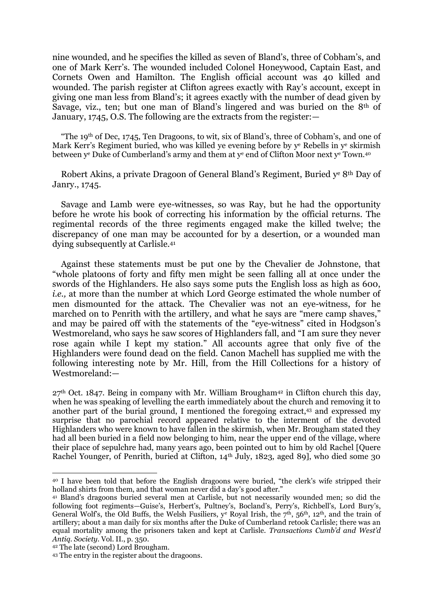nine wounded, and he specifies the killed as seven of Bland's, three of Cobham's, and one of Mark Kerr's. The wounded included Colonel Honeywood, Captain East, and Cornets Owen and Hamilton. The English official account was 40 killed and wounded. The parish register at Clifton agrees exactly with Ray's account, except in giving one man less from Bland's; it agrees exactly with the number of dead given by Savage, viz., ten; but one man of Bland's lingered and was buried on the 8th of January, 1745, O.S. The following are the extracts from the register:—

"The  $19<sup>th</sup>$  of Dec, 1745, Ten Dragoons, to wit, six of Bland's, three of Cobham's, and one of Mark Kerr's Regiment buried, who was killed ye evening before by y<sup>e</sup> Rebells in y<sup>e</sup> skirmish between y<sup>e</sup> Duke of Cumberland's army and them at y<sup>e</sup> end of Clifton Moor next y<sup>e</sup> Town.40

Robert Akins, a private Dragoon of General Bland's Regiment, Buried ye 8<sup>th</sup> Day of Janry., 1745.

Savage and Lamb were eye-witnesses, so was Ray, but he had the opportunity before he wrote his book of correcting his information by the official returns. The regimental records of the three regiments engaged make the killed twelve; the discrepancy of one man may be accounted for by a desertion, or a wounded man dying subsequently at Carlisle.<sup>41</sup>

Against these statements must be put one by the Chevalier de Johnstone, that "whole platoons of forty and fifty men might be seen falling all at once under the swords of the Highlanders. He also says some puts the English loss as high as 600, *i.e.*, at more than the number at which Lord George estimated the whole number of men dismounted for the attack. The Chevalier was not an eye-witness, for he marched on to Penrith with the artillery, and what he says are "mere camp shaves," and may be paired off with the statements of the "eye-witness" cited in Hodgson's Westmoreland, who says he saw scores of Highlanders fall, and "I am sure they never rose again while I kept my station." All accounts agree that only five of the Highlanders were found dead on the field. Canon Machell has supplied me with the following interesting note by Mr. Hill, from the Hill Collections for a history of Westmoreland:—

 $27<sup>th</sup>$  Oct. 1847. Being in company with Mr. William Brougham<sup>42</sup> in Clifton church this day, when he was speaking of levelling the earth immediately about the church and removing it to another part of the burial ground, I mentioned the foregoing extract,<sup>43</sup> and expressed my surprise that no parochial record appeared relative to the interment of the devoted Highlanders who were known to have fallen in the skirmish, when Mr. Brougham stated they had all been buried in a field now belonging to him, near the upper end of the village, where their place of sepulchre had, many years ago, been pointed out to him by old Rachel [Quere Rachel Younger, of Penrith, buried at Clifton, 14th July, 1823, aged 89], who died some 30

<sup>40</sup> I have been told that before the English dragoons were buried, "the clerk's wife stripped their holland shirts from them, and that woman never did a day's good after."

<sup>41</sup> Bland's dragoons buried several men at Carlisle, but not necessarily wounded men; so did the following foot regiments—Guise's, Herbert's, Pultney's, Bocland's, Perry's, Richbell's, Lord Bury's, General Wolf's, the Old Buffs, the Welsh Fusiliers,  $y^e$  Royal Irish, the  $7<sup>th</sup>$ ,  $56<sup>th</sup>$ ,  $12<sup>th</sup>$ , and the train of artillery; about a man daily for six months after the Duke of Cumberland retook Carlisle; there was an equal mortality among the prisoners taken and kept at Carlisle. *Transactions Cumb'd and West'd Antiq. Society.* Vol. II., p. 350.

<sup>42</sup> The late (second) Lord Brougham.

<sup>43</sup> The entry in the register about the dragoons.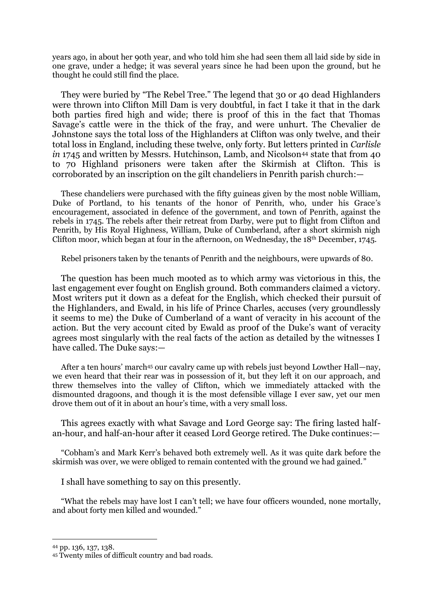years ago, in about her 90th year, and who told him she had seen them all laid side by side in one grave, under a hedge; it was several years since he had been upon the ground, but he thought he could still find the place.

They were buried by "The Rebel Tree." The legend that 30 or 40 dead Highlanders were thrown into Clifton Mill Dam is very doubtful, in fact I take it that in the dark both parties fired high and wide; there is proof of this in the fact that Thomas Savage's cattle were in the thick of the fray, and were unhurt. The Chevalier de Johnstone says the total loss of the Highlanders at Clifton was only twelve, and their total loss in England, including these twelve, only forty. But letters printed in *Carlisle in* 1745 and written by Messrs. Hutchinson, Lamb, and Nicolson<sup>44</sup> state that from 40 to 70 Highland prisoners were taken after the Skirmish at Clifton. This is corroborated by an inscription on the gilt chandeliers in Penrith parish church:—

These chandeliers were purchased with the fifty guineas given by the most noble William, Duke of Portland, to his tenants of the honor of Penrith, who, under his Grace's encouragement, associated in defence of the government, and town of Penrith, against the rebels in 1745. The rebels after their retreat from Darby, were put to flight from Clifton and Penrith, by His Royal Highness, William, Duke of Cumberland, after a short skirmish nigh Clifton moor, which began at four in the afternoon, on Wednesday, the 18th December, 1745.

Rebel prisoners taken by the tenants of Penrith and the neighbours, were upwards of 80.

The question has been much mooted as to which army was victorious in this, the last engagement ever fought on English ground. Both commanders claimed a victory. Most writers put it down as a defeat for the English, which checked their pursuit of the Highlanders, and Ewald, in his life of Prince Charles, accuses (very groundlessly it seems to me) the Duke of Cumberland of a want of veracity in his account of the action. But the very account cited by Ewald as proof of the Duke's want of veracity agrees most singularly with the real facts of the action as detailed by the witnesses I have called. The Duke says:—

After a ten hours' march<sup>45</sup> our cavalry came up with rebels just beyond Lowther Hall—nay, we even heard that their rear was in possession of it, but they left it on our approach, and threw themselves into the valley of Clifton, which we immediately attacked with the dismounted dragoons, and though it is the most defensible village I ever saw, yet our men drove them out of it in about an hour's time, with a very small loss.

This agrees exactly with what Savage and Lord George say: The firing lasted halfan-hour, and half-an-hour after it ceased Lord George retired. The Duke continues:—

"Cobham's and Mark Kerr's behaved both extremely well. As it was quite dark before the skirmish was over, we were obliged to remain contented with the ground we had gained."

I shall have something to say on this presently.

"What the rebels may have lost I can't tell; we have four officers wounded, none mortally, and about forty men killed and wounded."

<sup>44</sup> pp. 136, 137, 138.

<sup>45</sup> Twenty miles of difficult country and bad roads.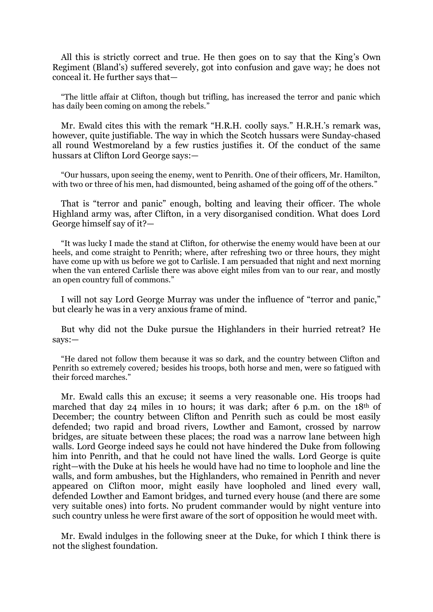All this is strictly correct and true. He then goes on to say that the King's Own Regiment (Bland's) suffered severely, got into confusion and gave way; he does not conceal it. He further says that—

"The little affair at Clifton, though but trifling, has increased the terror and panic which has daily been coming on among the rebels."

Mr. Ewald cites this with the remark "H.R.H. coolly says." H.R.H.'s remark was, however, quite justifiable. The way in which the Scotch hussars were Sunday-chased all round Westmoreland by a few rustics justifies it. Of the conduct of the same hussars at Clifton Lord George says:—

"Our hussars, upon seeing the enemy, went to Penrith. One of their officers, Mr. Hamilton, with two or three of his men, had dismounted, being ashamed of the going off of the others."

That is "terror and panic" enough, bolting and leaving their officer. The whole Highland army was, after Clifton, in a very disorganised condition. What does Lord George himself say of it?—

"It was lucky I made the stand at Clifton, for otherwise the enemy would have been at our heels, and come straight to Penrith; where, after refreshing two or three hours, they might have come up with us before we got to Carlisle. I am persuaded that night and next morning when the van entered Carlisle there was above eight miles from van to our rear, and mostly an open country full of commons."

I will not say Lord George Murray was under the influence of "terror and panic," but clearly he was in a very anxious frame of mind.

But why did not the Duke pursue the Highlanders in their hurried retreat? He says:—

"He dared not follow them because it was so dark, and the country between Clifton and Penrith so extremely covered*;* besides his troops, both horse and men, were so fatigued with their forced marches."

Mr. Ewald calls this an excuse; it seems a very reasonable one. His troops had marched that day 24 miles in 10 hours; it was dark; after 6 p.m. on the 18<sup>th</sup> of December; the country between Clifton and Penrith such as could be most easily defended; two rapid and broad rivers, Lowther and Eamont, crossed by narrow bridges, are situate between these places; the road was a narrow lane between high walls. Lord George indeed says he could not have hindered the Duke from following him into Penrith, and that he could not have lined the walls. Lord George is quite right—with the Duke at his heels he would have had no time to loophole and line the walls, and form ambushes, but the Highlanders, who remained in Penrith and never appeared on Clifton moor, might easily have loopholed and lined every wall, defended Lowther and Eamont bridges, and turned every house (and there are some very suitable ones) into forts. No prudent commander would by night venture into such country unless he were first aware of the sort of opposition he would meet with.

Mr. Ewald indulges in the following sneer at the Duke, for which I think there is not the slighest foundation.